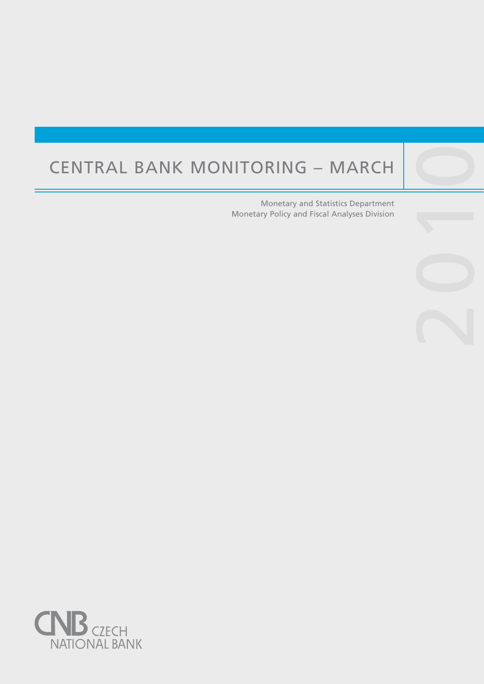# Central Bank Monitoring – March

Central banks are not universities and one would

purpose, such as, to lay the ground for the satisfac-

Monetary and Statistics Department Monetary Policy and Fiscal Analyses Division 2010

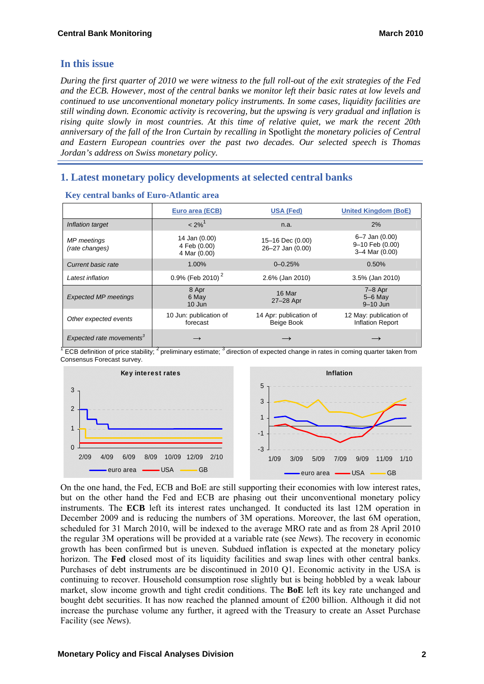# **In this issue**

*During the first quarter of 2010 we were witness to the full roll-out of the exit strategies of the Fed and the ECB. However, most of the central banks we monitor left their basic rates at low levels and continued to use unconventional monetary policy instruments. In some cases, liquidity facilities are still winding down. Economic activity is recovering, but the upswing is very gradual and inflation is rising quite slowly in most countries. At this time of relative quiet, we mark the recent 20th anniversary of the fall of the Iron Curtain by recalling in* Spotlight *the monetary policies of Central and Eastern European countries over the past two decades. Our selected speech is Thomas Jordan's address on Swiss monetary policy.* 

# **1. Latest monetary policy developments at selected central banks**

|                                      | Euro area (ECB)                               | <b>USA (Fed)</b>                     | <b>United Kingdom (BoE)</b>                         |  |
|--------------------------------------|-----------------------------------------------|--------------------------------------|-----------------------------------------------------|--|
| Inflation target                     | $< 2\%$ <sup>1</sup>                          | n.a.                                 | 2%                                                  |  |
| MP meetings<br>(rate changes)        | 14 Jan (0.00)<br>4 Feb (0.00)<br>4 Mar (0.00) | 15-16 Dec (0.00)<br>26-27 Jan (0.00) | 6–7 Jan (0.00)<br>9-10 Feb (0.00)<br>3-4 Mar (0.00) |  |
| Current basic rate                   | 1.00%                                         | $0 - 0.25%$                          | 0.50%                                               |  |
| Latest inflation                     | 0.9% (Feb 2010) $^{2}$                        | 2.6% (Jan 2010)                      | 3.5% (Jan 2010)                                     |  |
| <b>Expected MP meetings</b>          | 8 Apr<br>6 May<br>$10$ Jun                    | 16 Mar<br>27-28 Apr                  | $7-8$ Apr<br>$5-6$ May<br>9-10 Jun                  |  |
| Other expected events                | 10 Jun: publication of<br>forecast            | 14 Apr: publication of<br>Beige Book | 12 May: publication of<br><b>Inflation Report</b>   |  |
| Expected rate movements <sup>3</sup> | $\rightarrow$                                 |                                      |                                                     |  |

#### **Key central banks of Euro-Atlantic area**

 $\sqrt{T}$  ECB definition of price stability;  $2^2$  preliminary estimate;  $3^3$  direction of expected change in rates in coming quarter taken from Consensus Forecast survey.



On the one hand, the Fed, ECB and BoE are still supporting their economies with low interest rates, but on the other hand the Fed and ECB are phasing out their unconventional monetary policy instruments. The **ECB** left its interest rates unchanged. It conducted its last 12M operation in December 2009 and is reducing the numbers of 3M operations. Moreover, the last 6M operation, scheduled for 31 March 2010, will be indexed to the average MRO rate and as from 28 April 2010 the regular 3M operations will be provided at a variable rate (see *News*). The recovery in economic growth has been confirmed but is uneven. Subdued inflation is expected at the monetary policy horizon. The **Fed** closed most of its liquidity facilities and swap lines with other central banks. Purchases of debt instruments are be discontinued in 2010 Q1. Economic activity in the USA is continuing to recover. Household consumption rose slightly but is being hobbled by a weak labour market, slow income growth and tight credit conditions. The **BoE** left its key rate unchanged and bought debt securities. It has now reached the planned amount of £200 billion. Although it did not increase the purchase volume any further, it agreed with the Treasury to create an Asset Purchase Facility (see *News*).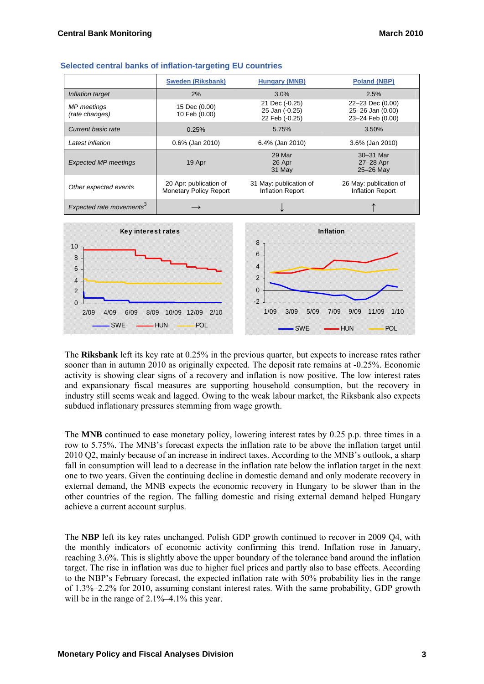|                                      | <b>Sweden (Riksbank)</b>                                | <b>Hungary (MNB)</b>                               | <b>Poland (NBP)</b>                                      |  |
|--------------------------------------|---------------------------------------------------------|----------------------------------------------------|----------------------------------------------------------|--|
| Inflation target                     | 2%                                                      | 3.0%                                               | 2.5%                                                     |  |
| MP meetings<br>(rate changes)        | 15 Dec (0.00)<br>10 Feb (0.00)                          | 21 Dec (-0.25)<br>25 Jan (-0.25)<br>22 Feb (-0.25) | 22-23 Dec (0.00)<br>25-26 Jan (0.00)<br>23-24 Feb (0.00) |  |
| Current basic rate                   | 0.25%                                                   | 5.75%                                              | 3.50%                                                    |  |
| Latest inflation                     | 0.6% (Jan 2010)                                         | 6.4% (Jan 2010)                                    | 3.6% (Jan 2010)                                          |  |
| <b>Expected MP meetings</b>          | 19 Apr                                                  | 29 Mar<br>26 Apr<br>31 May                         | 30-31 Mar<br>27-28 Apr<br>25-26 May                      |  |
| Other expected events                | 20 Apr: publication of<br><b>Monetary Policy Report</b> | 31 May: publication of<br>Inflation Report         | 26 May: publication of<br>Inflation Report               |  |
| Expected rate movements <sup>3</sup> |                                                         |                                                    |                                                          |  |
| Key interest rates                   |                                                         | Inflation                                          |                                                          |  |

#### **Selected central banks of inflation-targeting EU countries**



The **Riksbank** left its key rate at 0.25% in the previous quarter, but expects to increase rates rather sooner than in autumn 2010 as originally expected. The deposit rate remains at -0.25%. Economic activity is showing clear signs of a recovery and inflation is now positive. The low interest rates and expansionary fiscal measures are supporting household consumption, but the recovery in industry still seems weak and lagged. Owing to the weak labour market, the Riksbank also expects subdued inflationary pressures stemming from wage growth.

The **MNB** continued to ease monetary policy, lowering interest rates by 0.25 p.p. three times in a row to 5.75%. The MNB's forecast expects the inflation rate to be above the inflation target until 2010 Q2, mainly because of an increase in indirect taxes. According to the MNB's outlook, a sharp fall in consumption will lead to a decrease in the inflation rate below the inflation target in the next one to two years. Given the continuing decline in domestic demand and only moderate recovery in external demand, the MNB expects the economic recovery in Hungary to be slower than in the other countries of the region. The falling domestic and rising external demand helped Hungary achieve a current account surplus.

The **NBP** left its key rates unchanged. Polish GDP growth continued to recover in 2009 Q4, with the monthly indicators of economic activity confirming this trend. Inflation rose in January, reaching 3.6%. This is slightly above the upper boundary of the tolerance band around the inflation target. The rise in inflation was due to higher fuel prices and partly also to base effects. According to the NBP's February forecast, the expected inflation rate with 50% probability lies in the range of 1.3%–2.2% for 2010, assuming constant interest rates. With the same probability, GDP growth will be in the range of 2.1%–4.1% this year.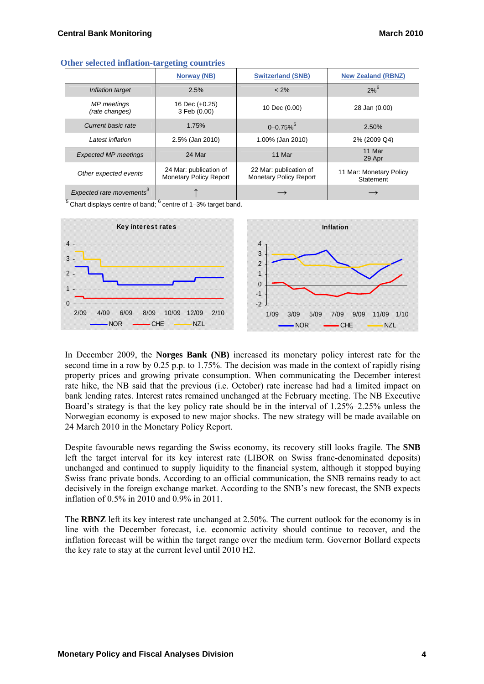| Outer befected minimized an geving countries |                                                         |                                                         |                                      |  |  |
|----------------------------------------------|---------------------------------------------------------|---------------------------------------------------------|--------------------------------------|--|--|
|                                              | Norway (NB)                                             | <b>Switzerland (SNB)</b>                                | <b>New Zealand (RBNZ)</b>            |  |  |
| Inflation target                             | 2.5%                                                    | $< 2\%$                                                 | $2%^{6}$                             |  |  |
| MP meetings<br>(rate changes)                | 16 Dec (+0.25)<br>3 Feb (0.00)                          | 10 Dec (0.00)                                           | 28 Jan (0.00)                        |  |  |
| Current basic rate                           | 1.75%                                                   | $0 - 0.75\%$ <sup>5</sup>                               | 2.50%                                |  |  |
| Latest inflation                             | 2.5% (Jan 2010)                                         | 1.00% (Jan 2010)                                        | 2% (2009 Q4)                         |  |  |
| <b>Expected MP meetings</b>                  | 24 Mar                                                  | 11 Mar                                                  | 11 Mar<br>29 Apr                     |  |  |
| Other expected events                        | 24 Mar: publication of<br><b>Monetary Policy Report</b> | 22 Mar: publication of<br><b>Monetary Policy Report</b> | 11 Mar: Monetary Policy<br>Statement |  |  |
| Expected rate movements <sup>3</sup>         |                                                         |                                                         |                                      |  |  |

#### **Other selected inflation-targeting countries**

 $5$  Chart displays centre of band;  $6$  centre of 1–3% target band.



In December 2009, the **Norges Bank (NB)** increased its monetary policy interest rate for the second time in a row by 0.25 p.p. to 1.75%. The decision was made in the context of rapidly rising property prices and growing private consumption. When communicating the December interest rate hike, the NB said that the previous (i.e. October) rate increase had had a limited impact on bank lending rates. Interest rates remained unchanged at the February meeting. The NB Executive Board's strategy is that the key policy rate should be in the interval of 1.25%–2.25% unless the Norwegian economy is exposed to new major shocks. The new strategy will be made available on 24 March 2010 in the Monetary Policy Report.

Despite favourable news regarding the Swiss economy, its recovery still looks fragile. The **SNB**  left the target interval for its key interest rate (LIBOR on Swiss franc-denominated deposits) unchanged and continued to supply liquidity to the financial system, although it stopped buying Swiss franc private bonds. According to an official communication, the SNB remains ready to act decisively in the foreign exchange market. According to the SNB's new forecast, the SNB expects inflation of 0.5% in 2010 and 0.9% in 2011.

The **RBNZ** left its key interest rate unchanged at 2.50%. The current outlook for the economy is in line with the December forecast, i.e. economic activity should continue to recover, and the inflation forecast will be within the target range over the medium term. Governor Bollard expects the key rate to stay at the current level until 2010 H2.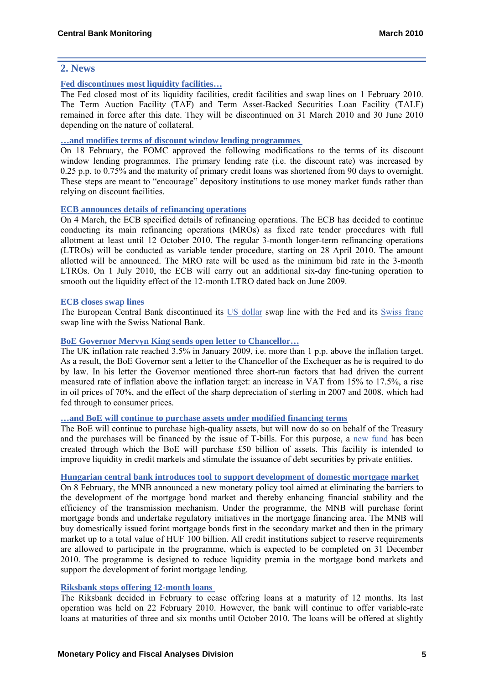## **2. News**

### **[Fed discontinues most liquidity facilities…](http://www.federalreserve.gov/newsevents/press/monetary/fomcminutes20100127.pdf)**

The Fed closed most of its liquidity facilities, credit facilities and swap lines on 1 February 2010. The Term Auction Facilit*y* (TAF) and Term Asset-Backed Securities Loan Facility (TALF) remained in force after this date. They will be discontinued on 31 March 2010 and 30 June 2010 depending on the nature of collateral.

## **[…and modifies terms of discount window lending programmes](http://www.federalreserve.gov/newsevents/press/monetary/20100218a.htm)**

On 18 February, the FOMC approved the following modifications to the terms of its discount window lending programmes. The primary lending rate (i.e. the discount rate) was increased by 0.25 p.p. to 0.75% and the maturity of primary credit loans was shortened from 90 days to overnight. These steps are meant to "encourage" depository institutions to use money market funds rather than relying on discount facilities.

#### **[ECB announces details of refinancing operations](http://www.ecb.int/press/pr/date/2010/html/pr100304_2.en.html)**

On 4 March, the ECB specified details of refinancing operations. The ECB has decided to continue conducting its main refinancing operations (MROs) as fixed rate tender procedures with full allotment at least until 12 October 2010. The regular 3-month longer-term refinancing operations (LTROs) will be conducted as variable tender procedure, starting on 28 April 2010. The amount allotted will be announced. The MRO rate will be used as the minimum bid rate in the 3-month LTROs. On 1 July 2010, the ECB will carry out an additional six-day fine-tuning operation to smooth out the liquidity effect of the 12-month LTRO dated back on June 2009.

#### **ECB closes swap lines**

The European Central Bank discontinued its [US dollar](http://www.ecb.int/press/govcdec/otherdec/2010/html/gc100219.en.html) swap line with the Fed and its [Swiss franc](http://www.ecb.int/press/pr/date/2010/html/pr100118.en.html) swap line with the Swiss National Bank.

#### **BoE Governor Mervyn King sends open letter to Chancello[r…](http://www.bankofengland.co.uk/monetarypolicy/pdf/cpiletter100216.pdf)**

The UK inflation rate reached 3.5% in January 2009, i.e. more than 1 p.p. above the inflation target. As a result, the BoE Governor sent a letter to the Chancellor of the Exchequer as he is required to do by law. In his letter the Governor mentioned three short-run factors that had driven the current measured rate of inflation above the inflation target: an increase in VAT from 15% to 17.5%, a rise in oil prices of 70%, and the effect of the sharp depreciation of sterling in 2007 and 2008, which had fed through to consumer prices.

#### **[…and BoE will continue to purchase assets under modified financing terms](http://www.bankofengland.co.uk/publications/news/2010/008.htm)**

The BoE will continue to purchase high-quality assets, but will now do so on behalf of the Treasury and the purchases will be financed by the issue of T-bills. For this purpose, a [new fund](http://www.hm-treasury.gov.uk/d/ck_letter_boe290109.pdf) has been created through which the BoE will purchase £50 billion of assets. This facility is intended to improve liquidity in credit markets and stimulate the issuance of debt securities by private entities.

#### **[Hungarian central bank introduces tool to support development of domestic mortgage market](http://english.mnb.hu/Engine.aspx?page=mnben_monet_kozlem&ContentID=13722)**

On 8 February, the MNB announced a new monetary policy tool aimed at eliminating the barriers to the development of the mortgage bond market and thereby enhancing financial stability and the efficiency of the transmission mechanism. Under the programme, the MNB will purchase forint mortgage bonds and undertake regulatory initiatives in the mortgage financing area. The MNB will buy domestically issued forint mortgage bonds first in the secondary market and then in the primary market up to a total value of HUF 100 billion. All credit institutions subject to reserve requirements are allowed to participate in the programme, which is expected to be completed on 31 December 2010. The programme is designed to reduce liquidity premia in the mortgage bond markets and support the development of forint mortgage lending.

#### **[Riksbank stops offering 12-month loans](http://www.riksbank.com/templates/Page.aspx?id=43259)**

The Riksbank decided in February to cease offering loans at a maturity of 12 months. Its last operation was held on 22 February 2010. However, the bank will continue to offer variable-rate loans at maturities of three and six months until October 2010. The loans will be offered at slightly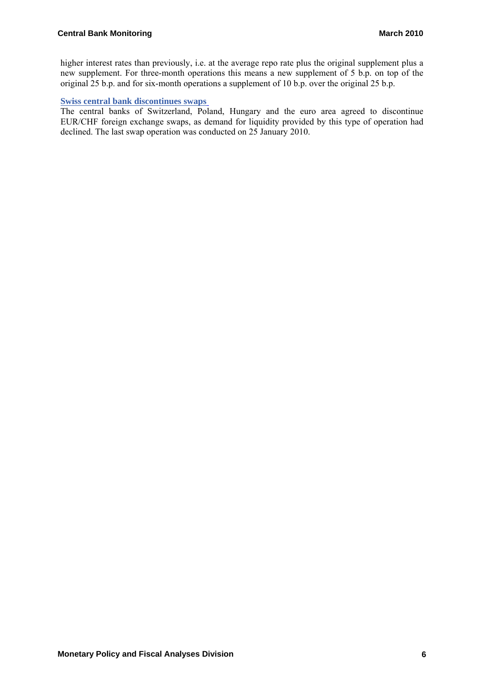higher interest rates than previously, i.e. at the average repo rate plus the original supplement plus a new supplement. For three-month operations this means a new supplement of 5 b.p. on top of the original 25 b.p. and for six-month operations a supplement of 10 b.p. over the original 25 b.p.

## **[Swiss central bank discontinues swaps](http://www.snb.ch/en/mmr/reference/pre_20100118/source/pre_20100118.en.pdf)**

The central banks of Switzerland, Poland, Hungary and the euro area agreed to discontinue EUR/CHF foreign exchange swaps, as demand for liquidity provided by this type of operation had declined. The last swap operation was conducted on 25 January 2010.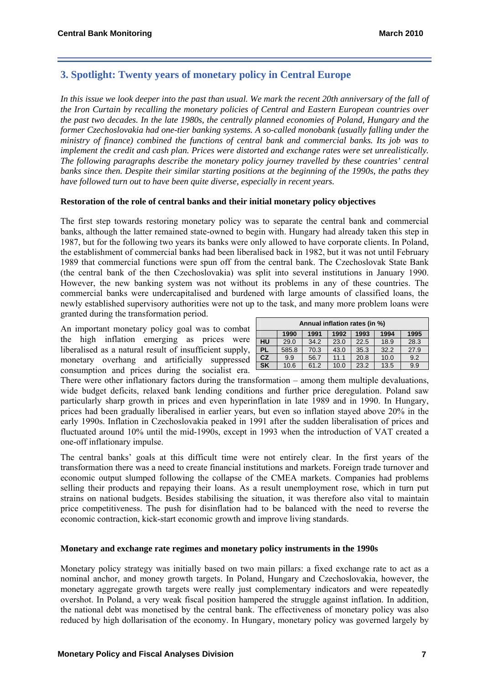# **3. Spotlight: Twenty years of monetary policy in Central Europe**

*In this issue we look deeper into the past than usual. We mark the recent 20th anniversary of the fall of the Iron Curtain by recalling the monetary policies of Central and Eastern European countries over the past two decades. In the late 1980s, the centrally planned economies of Poland, Hungary and the former Czechoslovakia had one-tier banking systems. A so-called monobank (usually falling under the ministry of finance) combined the functions of central bank and commercial banks. Its job was to implement the credit and cash plan. Prices were distorted and exchange rates were set unrealistically. The following paragraphs describe the monetary policy journey travelled by these countries' central banks since then. Despite their similar starting positions at the beginning of the 1990s, the paths they have followed turn out to have been quite diverse, especially in recent years.* 

#### **Restoration of the role of central banks and their initial monetary policy objectives**

The first step towards restoring monetary policy was to separate the central bank and commercial banks, although the latter remained state-owned to begin with. Hungary had already taken this step in 1987, but for the following two years its banks were only allowed to have corporate clients. In Poland, the establishment of commercial banks had been liberalised back in 1982, but it was not until February 1989 that commercial functions were spun off from the central bank. The Czechoslovak State Bank (the central bank of the then Czechoslovakia) was split into several institutions in January 1990. However, the new banking system was not without its problems in any of these countries. The commercial banks were undercapitalised and burdened with large amounts of classified loans, the newly established supervisory authorities were not up to the task, and many more problem loans were granted during the transformation period.

An important monetary policy goal was to combat the high inflation emerging as prices were liberalised as a natural result of insufficient supply, monetary overhang and artificially suppressed consumption and prices during the socialist era.

| Annual inflation rates (in %) |       |      |      |      |      |      |
|-------------------------------|-------|------|------|------|------|------|
|                               | 1990  | 1991 | 1992 | 1993 | 1994 | 1995 |
| HU                            | 29.0  | 34.2 | 23.0 | 22.5 | 18.9 | 28.3 |
| PL.                           | 585.8 | 70.3 | 43.0 | 35.3 | 32.2 | 27.9 |
| CZ                            | 9.9   | 56.7 | 11.1 | 20.8 | 10.0 | 9.2  |
| <b>SK</b>                     | 10.6  | 61.2 | 10.0 | 23.2 | 13.5 | 9.9  |

There were other inflationary factors during the transformation – among them multiple devaluations, wide budget deficits, relaxed bank lending conditions and further price deregulation. Poland saw particularly sharp growth in prices and even hyperinflation in late 1989 and in 1990. In Hungary, prices had been gradually liberalised in earlier years, but even so inflation stayed above 20% in the early 1990s. Inflation in Czechoslovakia peaked in 1991 after the sudden liberalisation of prices and fluctuated around 10% until the mid-1990s, except in 1993 when the introduction of VAT created a one-off inflationary impulse.

The central banks' goals at this difficult time were not entirely clear. In the first years of the transformation there was a need to create financial institutions and markets. Foreign trade turnover and economic output slumped following the collapse of the CMEA markets. Companies had problems selling their products and repaying their loans. As a result unemployment rose, which in turn put strains on national budgets. Besides stabilising the situation, it was therefore also vital to maintain price competitiveness. The push for disinflation had to be balanced with the need to reverse the economic contraction, kick-start economic growth and improve living standards.

#### **Monetary and exchange rate regimes and monetary policy instruments in the 1990s**

Monetary policy strategy was initially based on two main pillars: a fixed exchange rate to act as a nominal anchor, and money growth targets. In Poland, Hungary and Czechoslovakia, however, the monetary aggregate growth targets were really just complementary indicators and were repeatedly overshot. In Poland, a very weak fiscal position hampered the struggle against inflation. In addition, the national debt was monetised by the central bank. The effectiveness of monetary policy was also reduced by high dollarisation of the economy. In Hungary, monetary policy was governed largely by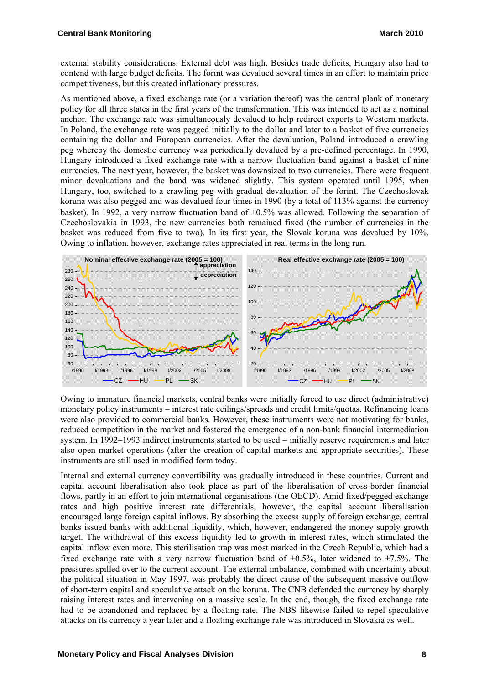external stability considerations. External debt was high. Besides trade deficits, Hungary also had to contend with large budget deficits. The forint was devalued several times in an effort to maintain price competitiveness, but this created inflationary pressures.

As mentioned above, a fixed exchange rate (or a variation thereof) was the central plank of monetary policy for all three states in the first years of the transformation. This was intended to act as a nominal anchor. The exchange rate was simultaneously devalued to help redirect exports to Western markets. In Poland, the exchange rate was pegged initially to the dollar and later to a basket of five currencies containing the dollar and European currencies. After the devaluation, Poland introduced a crawling peg whereby the domestic currency was periodically devalued by a pre-defined percentage. In 1990, Hungary introduced a fixed exchange rate with a narrow fluctuation band against a basket of nine currencies. The next year, however, the basket was downsized to two currencies. There were frequent minor devaluations and the band was widened slightly. This system operated until 1995, when Hungary, too, switched to a crawling peg with gradual devaluation of the forint. The Czechoslovak koruna was also pegged and was devalued four times in 1990 (by a total of 113% against the currency basket). In 1992, a very narrow fluctuation band of  $\pm 0.5\%$  was allowed. Following the separation of Czechoslovakia in 1993, the new currencies both remained fixed (the number of currencies in the basket was reduced from five to two). In its first year, the Slovak koruna was devalued by 10%. Owing to inflation, however, exchange rates appreciated in real terms in the long run.



Owing to immature financial markets, central banks were initially forced to use direct (administrative) monetary policy instruments – interest rate ceilings/spreads and credit limits/quotas. Refinancing loans were also provided to commercial banks. However, these instruments were not motivating for banks, reduced competition in the market and fostered the emergence of a non-bank financial intermediation system. In 1992–1993 indirect instruments started to be used – initially reserve requirements and later also open market operations (after the creation of capital markets and appropriate securities). These instruments are still used in modified form today.

Internal and external currency convertibility was gradually introduced in these countries. Current and capital account liberalisation also took place as part of the liberalisation of cross-border financial flows, partly in an effort to join international organisations (the OECD). Amid fixed/pegged exchange rates and high positive interest rate differentials, however, the capital account liberalisation encouraged large foreign capital inflows. By absorbing the excess supply of foreign exchange, central banks issued banks with additional liquidity, which, however, endangered the money supply growth target. The withdrawal of this excess liquidity led to growth in interest rates, which stimulated the capital inflow even more. This sterilisation trap was most marked in the Czech Republic, which had a fixed exchange rate with a very narrow fluctuation band of  $\pm 0.5\%$ , later widened to  $\pm 7.5\%$ . The pressures spilled over to the current account. The external imbalance, combined with uncertainty about the political situation in May 1997, was probably the direct cause of the subsequent massive outflow of short-term capital and speculative attack on the koruna. The CNB defended the currency by sharply raising interest rates and intervening on a massive scale. In the end, though, the fixed exchange rate had to be abandoned and replaced by a floating rate. The NBS likewise failed to repel speculative attacks on its currency a year later and a floating exchange rate was introduced in Slovakia as well.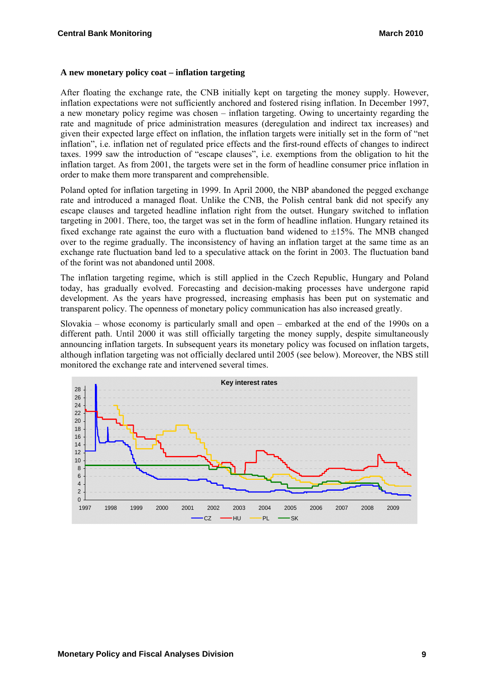#### **A new monetary policy coat – inflation targeting**

After floating the exchange rate, the CNB initially kept on targeting the money supply. However, inflation expectations were not sufficiently anchored and fostered rising inflation. In December 1997, a new monetary policy regime was chosen – inflation targeting. Owing to uncertainty regarding the rate and magnitude of price administration measures (deregulation and indirect tax increases) and given their expected large effect on inflation, the inflation targets were initially set in the form of "net inflation", i.e. inflation net of regulated price effects and the first-round effects of changes to indirect taxes. 1999 saw the introduction of "escape clauses", i.e. exemptions from the obligation to hit the inflation target. As from 2001, the targets were set in the form of headline consumer price inflation in order to make them more transparent and comprehensible.

Poland opted for inflation targeting in 1999. In April 2000, the NBP abandoned the pegged exchange rate and introduced a managed float. Unlike the CNB, the Polish central bank did not specify any escape clauses and targeted headline inflation right from the outset. Hungary switched to inflation targeting in 2001. There, too, the target was set in the form of headline inflation. Hungary retained its fixed exchange rate against the euro with a fluctuation band widened to  $\pm 15\%$ . The MNB changed over to the regime gradually. The inconsistency of having an inflation target at the same time as an exchange rate fluctuation band led to a speculative attack on the forint in 2003. The fluctuation band of the forint was not abandoned until 2008.

The inflation targeting regime, which is still applied in the Czech Republic, Hungary and Poland today, has gradually evolved. Forecasting and decision-making processes have undergone rapid development. As the years have progressed, increasing emphasis has been put on systematic and transparent policy. The openness of monetary policy communication has also increased greatly.

Slovakia – whose economy is particularly small and open – embarked at the end of the 1990s on a different path. Until 2000 it was still officially targeting the money supply, despite simultaneously announcing inflation targets. In subsequent years its monetary policy was focused on inflation targets, although inflation targeting was not officially declared until 2005 (see below). Moreover, the NBS still monitored the exchange rate and intervened several times.

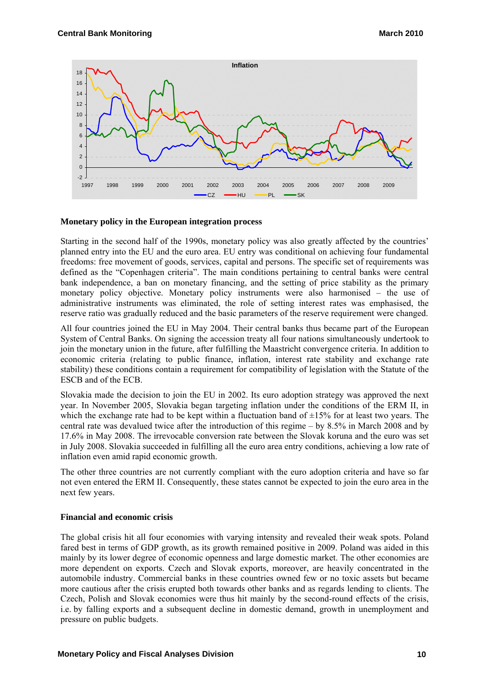

#### **Monetary policy in the European integration process**

Starting in the second half of the 1990s, monetary policy was also greatly affected by the countries' planned entry into the EU and the euro area. EU entry was conditional on achieving four fundamental freedoms: free movement of goods, services, capital and persons. The specific set of requirements was defined as the "Copenhagen criteria". The main conditions pertaining to central banks were central bank independence, a ban on monetary financing, and the setting of price stability as the primary monetary policy objective. Monetary policy instruments were also harmonised – the use of administrative instruments was eliminated, the role of setting interest rates was emphasised, the reserve ratio was gradually reduced and the basic parameters of the reserve requirement were changed.

All four countries joined the EU in May 2004. Their central banks thus became part of the European System of Central Banks. On signing the accession treaty all four nations simultaneously undertook to join the monetary union in the future, after fulfilling the Maastricht convergence criteria. In addition to economic criteria (relating to public finance, inflation, interest rate stability and exchange rate stability) these conditions contain a requirement for compatibility of legislation with the Statute of the ESCB and of the ECB.

Slovakia made the decision to join the EU in 2002. Its euro adoption strategy was approved the next year. In November 2005, Slovakia began targeting inflation under the conditions of the ERM II, in which the exchange rate had to be kept within a fluctuation band of  $\pm 15\%$  for at least two years. The central rate was devalued twice after the introduction of this regime – by 8.5% in March 2008 and by 17.6% in May 2008. The irrevocable conversion rate between the Slovak koruna and the euro was set in July 2008. Slovakia succeeded in fulfilling all the euro area entry conditions, achieving a low rate of inflation even amid rapid economic growth.

The other three countries are not currently compliant with the euro adoption criteria and have so far not even entered the ERM II. Consequently, these states cannot be expected to join the euro area in the next few years.

#### **Financial and economic crisis**

The global crisis hit all four economies with varying intensity and revealed their weak spots. Poland fared best in terms of GDP growth, as its growth remained positive in 2009. Poland was aided in this mainly by its lower degree of economic openness and large domestic market. The other economies are more dependent on exports. Czech and Slovak exports, moreover, are heavily concentrated in the automobile industry. Commercial banks in these countries owned few or no toxic assets but became more cautious after the crisis erupted both towards other banks and as regards lending to clients. The Czech, Polish and Slovak economies were thus hit mainly by the second-round effects of the crisis, i.e. by falling exports and a subsequent decline in domestic demand, growth in unemployment and pressure on public budgets.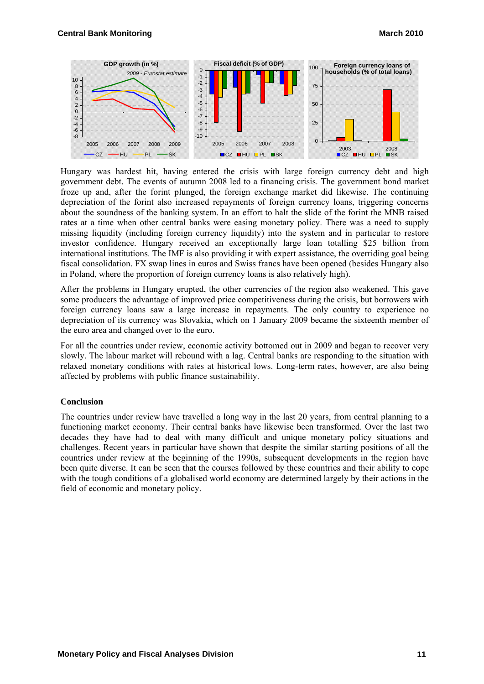

Hungary was hardest hit, having entered the crisis with large foreign currency debt and high government debt. The events of autumn 2008 led to a financing crisis. The government bond market froze up and, after the forint plunged, the foreign exchange market did likewise. The continuing depreciation of the forint also increased repayments of foreign currency loans, triggering concerns about the soundness of the banking system. In an effort to halt the slide of the forint the MNB raised rates at a time when other central banks were easing monetary policy. There was a need to supply missing liquidity (including foreign currency liquidity) into the system and in particular to restore investor confidence. Hungary received an exceptionally large loan totalling \$25 billion from international institutions. The IMF is also providing it with expert assistance, the overriding goal being fiscal consolidation. FX swap lines in euros and Swiss francs have been opened (besides Hungary also in Poland, where the proportion of foreign currency loans is also relatively high).

After the problems in Hungary erupted, the other currencies of the region also weakened. This gave some producers the advantage of improved price competitiveness during the crisis, but borrowers with foreign currency loans saw a large increase in repayments. The only country to experience no depreciation of its currency was Slovakia, which on 1 January 2009 became the sixteenth member of the euro area and changed over to the euro.

For all the countries under review, economic activity bottomed out in 2009 and began to recover very slowly. The labour market will rebound with a lag. Central banks are responding to the situation with relaxed monetary conditions with rates at historical lows. Long-term rates, however, are also being affected by problems with public finance sustainability.

#### **Conclusion**

The countries under review have travelled a long way in the last 20 years, from central planning to a functioning market economy. Their central banks have likewise been transformed. Over the last two decades they have had to deal with many difficult and unique monetary policy situations and challenges. Recent years in particular have shown that despite the similar starting positions of all the countries under review at the beginning of the 1990s, subsequent developments in the region have been quite diverse. It can be seen that the courses followed by these countries and their ability to cope with the tough conditions of a globalised world economy are determined largely by their actions in the field of economic and monetary policy.